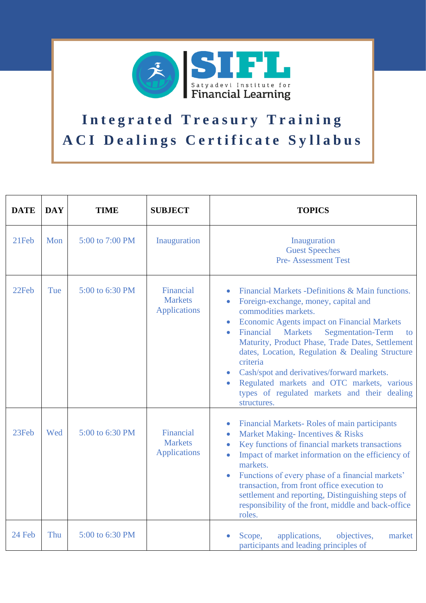

## Integrated Treasury Training A CI Dealings Certificate Syllabus

| <b>DATE</b> | <b>DAY</b> | <b>TIME</b>     | <b>SUBJECT</b>                                     | <b>TOPICS</b>                                                                                                                                                                                                                                                                                                                                                                                                                                                                                                                      |
|-------------|------------|-----------------|----------------------------------------------------|------------------------------------------------------------------------------------------------------------------------------------------------------------------------------------------------------------------------------------------------------------------------------------------------------------------------------------------------------------------------------------------------------------------------------------------------------------------------------------------------------------------------------------|
| 21Feb       | Mon        | 5:00 to 7:00 PM | Inauguration                                       | Inauguration<br><b>Guest Speeches</b><br><b>Pre-Assessment Test</b>                                                                                                                                                                                                                                                                                                                                                                                                                                                                |
| 22Feb       | Tue        | 5:00 to 6:30 PM | Financial<br><b>Markets</b><br><b>Applications</b> | Financial Markets -Definitions & Main functions.<br>Foreign-exchange, money, capital and<br>commodities markets.<br><b>Economic Agents impact on Financial Markets</b><br><b>Markets</b><br><b>Segmentation-Term</b><br>Financial<br>$\bullet$<br>to<br>Maturity, Product Phase, Trade Dates, Settlement<br>dates, Location, Regulation & Dealing Structure<br>criteria<br>Cash/spot and derivatives/forward markets.<br>Regulated markets and OTC markets, various<br>types of regulated markets and their dealing<br>structures. |
| 23Feb       | Wed        | 5:00 to 6:30 PM | Financial<br><b>Markets</b><br><b>Applications</b> | Financial Markets-Roles of main participants<br>Market Making- Incentives & Risks<br>$\bullet$<br>Key functions of financial markets transactions<br>$\bullet$<br>Impact of market information on the efficiency of<br>$\bullet$<br>markets.<br>Functions of every phase of a financial markets'<br>transaction, from front office execution to<br>settlement and reporting, Distinguishing steps of<br>responsibility of the front, middle and back-office<br>roles.                                                              |
| 24 Feb      | Thu        | 5:00 to 6:30 PM |                                                    | applications,<br>objectives,<br>Scope,<br>market<br>participants and leading principles of                                                                                                                                                                                                                                                                                                                                                                                                                                         |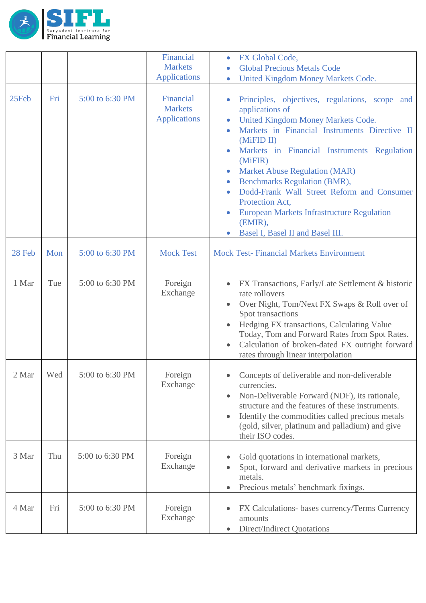

|                   |     |                 | Financial<br><b>Markets</b><br><b>Applications</b> | FX Global Code,<br>$\bullet$<br><b>Global Precious Metals Code</b><br>$\bullet$<br>United Kingdom Money Markets Code.<br>$\bullet$                                                                                                                                                                                                                                                                                                                                                                                                                                                           |
|-------------------|-----|-----------------|----------------------------------------------------|----------------------------------------------------------------------------------------------------------------------------------------------------------------------------------------------------------------------------------------------------------------------------------------------------------------------------------------------------------------------------------------------------------------------------------------------------------------------------------------------------------------------------------------------------------------------------------------------|
| 25Feb             | Fri | 5:00 to 6:30 PM | Financial<br><b>Markets</b><br><b>Applications</b> | Principles, objectives, regulations, scope and<br>$\bullet$<br>applications of<br>United Kingdom Money Markets Code.<br>$\bullet$<br>Markets in Financial Instruments Directive II<br>$\bullet$<br>(MiFID II)<br>Markets in Financial Instruments Regulation<br>$\bullet$<br>(MiFIR)<br><b>Market Abuse Regulation (MAR)</b><br>$\bullet$<br><b>Benchmarks Regulation (BMR),</b><br>$\bullet$<br>Dodd-Frank Wall Street Reform and Consumer<br>$\bullet$<br>Protection Act,<br><b>European Markets Infrastructure Regulation</b><br>(EMIR),<br>Basel I, Basel II and Basel III.<br>$\bullet$ |
| 28 Feb            | Mon | 5:00 to 6:30 PM | <b>Mock Test</b>                                   | <b>Mock Test-Financial Markets Environment</b>                                                                                                                                                                                                                                                                                                                                                                                                                                                                                                                                               |
| 1 Mar             | Tue | 5:00 to 6:30 PM | Foreign<br>Exchange                                | FX Transactions, Early/Late Settlement & historic<br>rate rollovers<br>Over Night, Tom/Next FX Swaps & Roll over of<br>$\bullet$<br>Spot transactions<br>Hedging FX transactions, Calculating Value<br>Today, Tom and Forward Rates from Spot Rates.<br>Calculation of broken-dated FX outright forward<br>$\bullet$<br>rates through linear interpolation                                                                                                                                                                                                                                   |
| $2\ \mathrm{Mar}$ | Wed | 5:00 to 6:30 PM | Foreign<br>Exchange                                | Concepts of deliverable and non-deliverable<br>currencies.<br>Non-Deliverable Forward (NDF), its rationale,<br>$\bullet$<br>structure and the features of these instruments.<br>Identify the commodities called precious metals<br>$\bullet$<br>(gold, silver, platinum and palladium) and give<br>their ISO codes.                                                                                                                                                                                                                                                                          |
| 3 Mar             | Thu | 5:00 to 6:30 PM | Foreign<br>Exchange                                | Gold quotations in international markets,<br>$\bullet$<br>Spot, forward and derivative markets in precious<br>$\bullet$<br>metals.<br>Precious metals' benchmark fixings.<br>$\bullet$                                                                                                                                                                                                                                                                                                                                                                                                       |
| 4 Mar             | Fri | 5:00 to 6:30 PM | Foreign<br>Exchange                                | FX Calculations- bases currency/Terms Currency<br>amounts<br>Direct/Indirect Quotations<br>$\bullet$                                                                                                                                                                                                                                                                                                                                                                                                                                                                                         |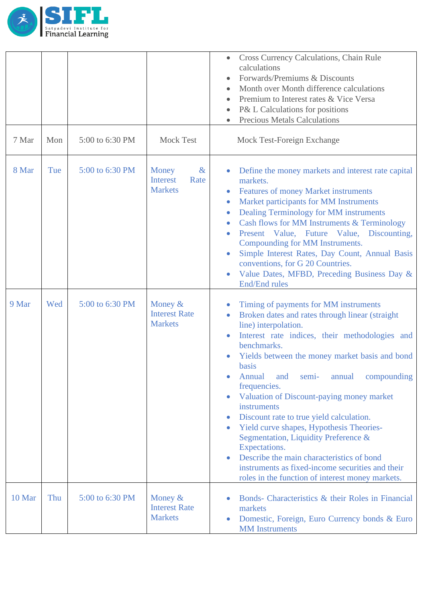

| 7 Mar  | Mon | 5:00 to 6:30 PM | <b>Mock Test</b>                                           | Cross Currency Calculations, Chain Rule<br>$\bullet$<br>calculations<br>Forwards/Premiums & Discounts<br>$\bullet$<br>Month over Month difference calculations<br>Premium to Interest rates & Vice Versa<br>P& L Calculations for positions<br><b>Precious Metals Calculations</b><br>Mock Test-Foreign Exchange                                                                                                                                                                                                                                                                                                                                                                                                                                                                                 |
|--------|-----|-----------------|------------------------------------------------------------|--------------------------------------------------------------------------------------------------------------------------------------------------------------------------------------------------------------------------------------------------------------------------------------------------------------------------------------------------------------------------------------------------------------------------------------------------------------------------------------------------------------------------------------------------------------------------------------------------------------------------------------------------------------------------------------------------------------------------------------------------------------------------------------------------|
| 8 Mar  | Tue | 5:00 to 6:30 PM | Money<br>$\&$<br><b>Interest</b><br>Rate<br><b>Markets</b> | Define the money markets and interest rate capital<br>$\bullet$<br>markets.<br><b>Features of money Market instruments</b><br>$\bullet$<br>Market participants for MM Instruments<br>$\bullet$<br>Dealing Terminology for MM instruments<br>$\bullet$<br>Cash flows for MM Instruments & Terminology<br>$\bullet$<br>Present Value, Future Value, Discounting,<br>$\bullet$<br>Compounding for MM Instruments.<br>Simple Interest Rates, Day Count, Annual Basis<br>$\bullet$<br>conventions, for G 20 Countries.<br>Value Dates, MFBD, Preceding Business Day &<br><b>End/End rules</b>                                                                                                                                                                                                         |
| 9 Mar  | Wed | 5:00 to 6:30 PM | Money $&$<br><b>Interest Rate</b><br><b>Markets</b>        | Timing of payments for MM instruments<br>Broken dates and rates through linear (straight<br>$\bullet$<br>line) interpolation.<br>Interest rate indices, their methodologies and<br>$\bullet$<br>benchmarks.<br>Yields between the money market basis and bond<br>$\bullet$<br><b>basis</b><br>Annual<br>compounding<br>and<br>annual<br>semi-<br>$\bullet$<br>frequencies.<br>Valuation of Discount-paying money market<br>$\bullet$<br>instruments<br>Discount rate to true yield calculation.<br>$\bullet$<br>Yield curve shapes, Hypothesis Theories-<br>$\bullet$<br>Segmentation, Liquidity Preference &<br>Expectations.<br>Describe the main characteristics of bond<br>$\bullet$<br>instruments as fixed-income securities and their<br>roles in the function of interest money markets. |
| 10 Mar | Thu | 5:00 to 6:30 PM | Money $&$<br><b>Interest Rate</b><br><b>Markets</b>        | Bonds- Characteristics & their Roles in Financial<br>markets<br>Domestic, Foreign, Euro Currency bonds & Euro<br>$\bullet$<br><b>MM</b> Instruments                                                                                                                                                                                                                                                                                                                                                                                                                                                                                                                                                                                                                                              |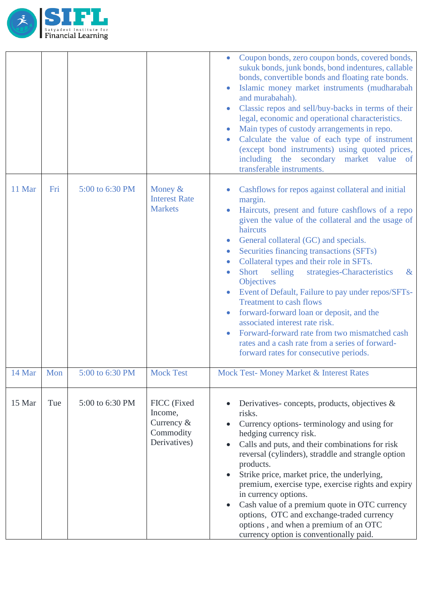

|        |     |                 |                                                                   | Coupon bonds, zero coupon bonds, covered bonds,<br>sukuk bonds, junk bonds, bond indentures, callable<br>bonds, convertible bonds and floating rate bonds.<br>Islamic money market instruments (mudharabah<br>and murabahah).<br>Classic repos and sell/buy-backs in terms of their<br>legal, economic and operational characteristics.<br>Main types of custody arrangements in repo.<br>Calculate the value of each type of instrument<br>(except bond instruments) using quoted prices,<br>including the secondary market value of<br>transferable instruments.                                                                                                                                                                   |
|--------|-----|-----------------|-------------------------------------------------------------------|--------------------------------------------------------------------------------------------------------------------------------------------------------------------------------------------------------------------------------------------------------------------------------------------------------------------------------------------------------------------------------------------------------------------------------------------------------------------------------------------------------------------------------------------------------------------------------------------------------------------------------------------------------------------------------------------------------------------------------------|
| 11 Mar | Fri | 5:00 to 6:30 PM | Money $&$<br><b>Interest Rate</b><br><b>Markets</b>               | Cashflows for repos against collateral and initial<br>margin.<br>Haircuts, present and future cashflows of a repo<br>given the value of the collateral and the usage of<br>haircuts<br>General collateral (GC) and specials.<br>Securities financing transactions (SFTs)<br>Collateral types and their role in SFTs.<br>selling<br>strategies-Characteristics<br><b>Short</b><br>$\&$<br>$\bullet$<br>Objectives<br>Event of Default, Failure to pay under repos/SFTs-<br><b>Treatment to cash flows</b><br>forward-forward loan or deposit, and the<br>associated interest rate risk.<br>Forward-forward rate from two mismatched cash<br>rates and a cash rate from a series of forward-<br>forward rates for consecutive periods. |
| 14 Mar | Mon | 5:00 to 6:30 PM | <b>Mock Test</b>                                                  | Mock Test- Money Market & Interest Rates                                                                                                                                                                                                                                                                                                                                                                                                                                                                                                                                                                                                                                                                                             |
| 15 Mar | Tue | 5:00 to 6:30 PM | FICC (Fixed<br>Income,<br>Currency &<br>Commodity<br>Derivatives) | Derivatives-concepts, products, objectives $\&$<br>risks.<br>Currency options- terminology and using for<br>hedging currency risk.<br>Calls and puts, and their combinations for risk<br>$\bullet$<br>reversal (cylinders), straddle and strangle option<br>products.<br>Strike price, market price, the underlying,<br>premium, exercise type, exercise rights and expiry<br>in currency options.<br>Cash value of a premium quote in OTC currency<br>$\bullet$<br>options, OTC and exchange-traded currency<br>options, and when a premium of an OTC<br>currency option is conventionally paid.                                                                                                                                    |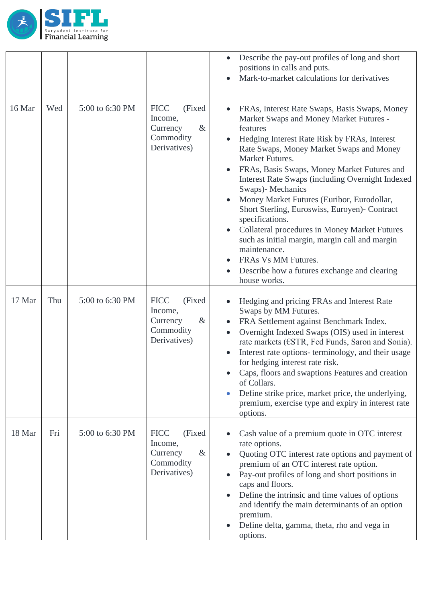

|        |     |                 |                                                                                    | Describe the pay-out profiles of long and short<br>$\bullet$<br>positions in calls and puts.<br>Mark-to-market calculations for derivatives                                                                                                                                                                                                                                                                                                                                                                                                                                                                                                                                                                                                                   |
|--------|-----|-----------------|------------------------------------------------------------------------------------|---------------------------------------------------------------------------------------------------------------------------------------------------------------------------------------------------------------------------------------------------------------------------------------------------------------------------------------------------------------------------------------------------------------------------------------------------------------------------------------------------------------------------------------------------------------------------------------------------------------------------------------------------------------------------------------------------------------------------------------------------------------|
| 16 Mar | Wed | 5:00 to 6:30 PM | <b>FICC</b><br>(Fixed)<br>Income,<br>Currency<br>$\&$<br>Commodity<br>Derivatives) | FRAs, Interest Rate Swaps, Basis Swaps, Money<br>Market Swaps and Money Market Futures -<br>features<br>Hedging Interest Rate Risk by FRAs, Interest<br>$\bullet$<br>Rate Swaps, Money Market Swaps and Money<br>Market Futures.<br>FRAs, Basis Swaps, Money Market Futures and<br>$\bullet$<br><b>Interest Rate Swaps (including Overnight Indexed)</b><br>Swaps)- Mechanics<br>Money Market Futures (Euribor, Eurodollar,<br>$\bullet$<br>Short Sterling, Euroswiss, Euroyen)- Contract<br>specifications.<br>Collateral procedures in Money Market Futures<br>$\bullet$<br>such as initial margin, margin call and margin<br>maintenance.<br>FRAS Vs MM Futures.<br>$\bullet$<br>Describe how a futures exchange and clearing<br>$\bullet$<br>house works. |
| 17 Mar | Thu | 5:00 to 6:30 PM | <b>FICC</b><br>(Fixed<br>Income,<br>Currency<br>$\&$<br>Commodity<br>Derivatives)  | Hedging and pricing FRAs and Interest Rate<br>$\bullet$<br>Swaps by MM Futures.<br>FRA Settlement against Benchmark Index.<br>$\bullet$<br>Overnight Indexed Swaps (OIS) used in interest<br>$\bullet$<br>rate markets (€STR, Fed Funds, Saron and Sonia).<br>Interest rate options- terminology, and their usage<br>$\bullet$<br>for hedging interest rate risk.<br>Caps, floors and swaptions Features and creation<br>of Collars.<br>Define strike price, market price, the underlying,<br>$\bullet$<br>premium, exercise type and expiry in interest rate<br>options.                                                                                                                                                                                     |
| 18 Mar | Fri | 5:00 to 6:30 PM | <b>FICC</b><br>(Fixed<br>Income,<br>Currency<br>$\&$<br>Commodity<br>Derivatives)  | Cash value of a premium quote in OTC interest<br>$\bullet$<br>rate options.<br>Quoting OTC interest rate options and payment of<br>$\bullet$<br>premium of an OTC interest rate option.<br>Pay-out profiles of long and short positions in<br>$\bullet$<br>caps and floors.<br>Define the intrinsic and time values of options<br>$\bullet$<br>and identify the main determinants of an option<br>premium.<br>Define delta, gamma, theta, rho and vega in<br>$\bullet$<br>options.                                                                                                                                                                                                                                                                            |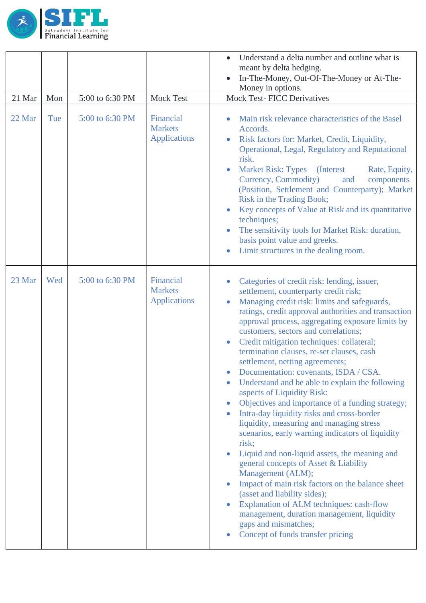

|        |     |                 |                                                    | Understand a delta number and outline what is<br>$\bullet$<br>meant by delta hedging.<br>In-The-Money, Out-Of-The-Money or At-The-<br>Money in options.                                                                                                                                                                                                                                                                                                                                                                                                                                                                                                                                                                                                                                                                                                                                                                                                                                                                                                                                                                                                                                            |
|--------|-----|-----------------|----------------------------------------------------|----------------------------------------------------------------------------------------------------------------------------------------------------------------------------------------------------------------------------------------------------------------------------------------------------------------------------------------------------------------------------------------------------------------------------------------------------------------------------------------------------------------------------------------------------------------------------------------------------------------------------------------------------------------------------------------------------------------------------------------------------------------------------------------------------------------------------------------------------------------------------------------------------------------------------------------------------------------------------------------------------------------------------------------------------------------------------------------------------------------------------------------------------------------------------------------------------|
| 21 Mar | Mon | 5:00 to 6:30 PM | Mock Test                                          | <b>Mock Test-FICC Derivatives</b>                                                                                                                                                                                                                                                                                                                                                                                                                                                                                                                                                                                                                                                                                                                                                                                                                                                                                                                                                                                                                                                                                                                                                                  |
| 22 Mar | Tue | 5:00 to 6:30 PM | Financial<br><b>Markets</b><br><b>Applications</b> | Main risk relevance characteristics of the Basel<br>Accords.<br>Risk factors for: Market, Credit, Liquidity,<br>Operational, Legal, Regulatory and Reputational<br>risk.<br><b>Market Risk: Types</b><br>(Interest)<br>Rate, Equity,<br>Currency, Commodity)<br>and<br>components<br>(Position, Settlement and Counterparty); Market<br>Risk in the Trading Book;<br>Key concepts of Value at Risk and its quantitative<br>$\bullet$<br>techniques;<br>The sensitivity tools for Market Risk: duration,<br>$\bullet$<br>basis point value and greeks.<br>Limit structures in the dealing room.<br>$\bullet$                                                                                                                                                                                                                                                                                                                                                                                                                                                                                                                                                                                        |
| 23 Mar | Wed | 5:00 to 6:30 PM | Financial<br><b>Markets</b><br><b>Applications</b> | Categories of credit risk: lending, issuer,<br>$\bullet$<br>settlement, counterparty credit risk;<br>Managing credit risk: limits and safeguards,<br>$\bullet$<br>ratings, credit approval authorities and transaction<br>approval process, aggregating exposure limits by<br>customers, sectors and correlations;<br>Credit mitigation techniques: collateral;<br>$\bullet$<br>termination clauses, re-set clauses, cash<br>settlement, netting agreements;<br>Documentation: covenants, ISDA / CSA.<br>Understand and be able to explain the following<br>aspects of Liquidity Risk:<br>Objectives and importance of a funding strategy;<br>$\bullet$<br>Intra-day liquidity risks and cross-border<br>liquidity, measuring and managing stress<br>scenarios, early warning indicators of liquidity<br>risk;<br>Liquid and non-liquid assets, the meaning and<br>$\bullet$<br>general concepts of Asset & Liability<br>Management (ALM);<br>Impact of main risk factors on the balance sheet<br>$\bullet$<br>(asset and liability sides);<br>Explanation of ALM techniques: cash-flow<br>management, duration management, liquidity<br>gaps and mismatches;<br>Concept of funds transfer pricing |